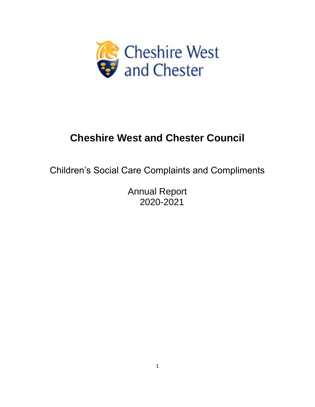

# **Cheshire West and Chester Council**

Children's Social Care Complaints and Compliments

Annual Report 2020-2021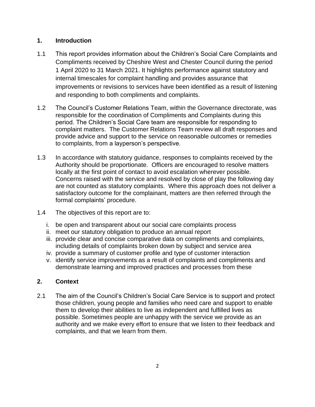# **1. Introduction**

- 1.1 This report provides information about the Children's Social Care Complaints and Compliments received by Cheshire West and Chester Council during the period 1 April 2020 to 31 March 2021. It highlights performance against statutory and internal timescales for complaint handling and provides assurance that improvements or revisions to services have been identified as a result of listening and responding to both compliments and complaints.
- 1.2 The Council's Customer Relations Team, within the Governance directorate, was responsible for the coordination of Compliments and Complaints during this period. The Children's Social Care team are responsible for responding to complaint matters. The Customer Relations Team review all draft responses and provide advice and support to the service on reasonable outcomes or remedies to complaints, from a layperson's perspective.
- 1.3 In accordance with statutory guidance, responses to complaints received by the Authority should be proportionate. Officers are encouraged to resolve matters locally at the first point of contact to avoid escalation wherever possible. Concerns raised with the service and resolved by close of play the following day are not counted as statutory complaints. Where this approach does not deliver a satisfactory outcome for the complainant, matters are then referred through the formal complaints' procedure.
- 1.4 The objectives of this report are to:
	- i. be open and transparent about our social care complaints process
	- ii. meet our statutory obligation to produce an annual report
	- iii. provide clear and concise comparative data on compliments and complaints, including details of complaints broken down by subject and service area
	- iv. provide a summary of customer profile and type of customer interaction
	- v. identify service improvements as a result of complaints and compliments and demonstrate learning and improved practices and processes from these

## **2. Context**

2.1 The aim of the Council's Children's Social Care Service is to support and protect those children, young people and families who need care and support to enable them to develop their abilities to live as independent and fulfilled lives as possible. Sometimes people are unhappy with the service we provide as an authority and we make every effort to ensure that we listen to their feedback and complaints, and that we learn from them.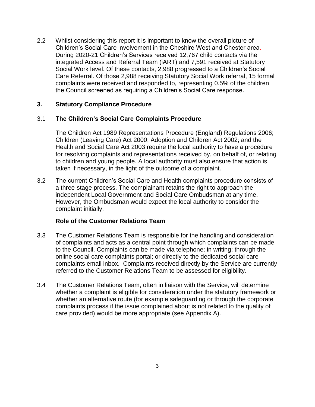2.2 Whilst considering this report it is important to know the overall picture of Children's Social Care involvement in the Cheshire West and Chester area. During 2020-21 Children's Services received 12,767 child contacts via the integrated Access and Referral Team (iART) and 7,591 received at Statutory Social Work level. Of these contacts, 2,988 progressed to a Children's Social Care Referral. Of those 2,988 receiving Statutory Social Work referral, 15 formal complaints were received and responded to, representing 0.5% of the children the Council screened as requiring a Children's Social Care response.

#### **3. Statutory Compliance Procedure**

#### 3.1 **The Children's Social Care Complaints Procedure**

The Children Act 1989 Representations Procedure (England) Regulations 2006; Children (Leaving Care) Act 2000; Adoption and Children Act 2002; and the Health and Social Care Act 2003 require the local authority to have a procedure for resolving complaints and representations received by, on behalf of, or relating to children and young people. A local authority must also ensure that action is taken if necessary, in the light of the outcome of a complaint.

3.2 The current Children's Social Care and Health complaints procedure consists of a three-stage process. The complainant retains the right to approach the independent Local Government and Social Care Ombudsman at any time. However, the Ombudsman would expect the local authority to consider the complaint initially.

#### **Role of the Customer Relations Team**

- 3.3 The Customer Relations Team is responsible for the handling and consideration of complaints and acts as a central point through which complaints can be made to the Council. Complaints can be made via telephone; in writing; through the online social care complaints portal; or directly to the dedicated social care complaints email inbox. Complaints received directly by the Service are currently referred to the Customer Relations Team to be assessed for eligibility.
- 3.4 The Customer Relations Team, often in liaison with the Service, will determine whether a complaint is eligible for consideration under the statutory framework or whether an alternative route (for example safeguarding or through the corporate complaints process if the issue complained about is not related to the quality of care provided) would be more appropriate (see Appendix A).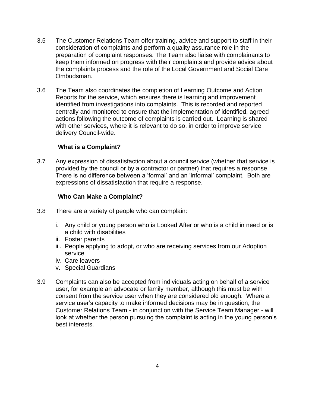- 3.5 The Customer Relations Team offer training, advice and support to staff in their consideration of complaints and perform a quality assurance role in the preparation of complaint responses. The Team also liaise with complainants to keep them informed on progress with their complaints and provide advice about the complaints process and the role of the Local Government and Social Care Ombudsman.
- 3.6 The Team also coordinates the completion of Learning Outcome and Action Reports for the service, which ensures there is learning and improvement identified from investigations into complaints. This is recorded and reported centrally and monitored to ensure that the implementation of identified, agreed actions following the outcome of complaints is carried out. Learning is shared with other services, where it is relevant to do so, in order to improve service delivery Council-wide.

## **What is a Complaint?**

3.7 Any expression of dissatisfaction about a council service (whether that service is provided by the council or by a contractor or partner) that requires a response. There is no difference between a 'formal' and an 'informal' complaint. Both are expressions of dissatisfaction that require a response.

## **Who Can Make a Complaint?**

- 3.8 There are a variety of people who can complain:
	- i. Any child or young person who is Looked After or who is a child in need or is a child with disabilities
	- ii. Foster parents
	- iii. People applying to adopt, or who are receiving services from our Adoption service
	- iv. Care leavers
	- v. Special Guardians
- 3.9 Complaints can also be accepted from individuals acting on behalf of a service user, for example an advocate or family member, although this must be with consent from the service user when they are considered old enough. Where a service user's capacity to make informed decisions may be in question, the Customer Relations Team - in conjunction with the Service Team Manager - will look at whether the person pursuing the complaint is acting in the young person's best interests.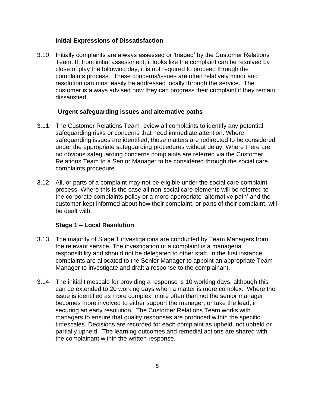## **Initial Expressions of Dissatisfaction**

3.10 Initially complaints are always assessed or 'triaged' by the Customer Relations Team. If, from initial assessment, it looks like the complaint can be resolved by close of play the following day, it is not required to proceed through the complaints process. These concerns/issues are often relatively minor and resolution can most easily be addressed locally through the service. The customer is always advised how they can progress their complaint if they remain dissatisfied.

#### **Urgent safeguarding issues and alternative paths**

- 3.11 The Customer Relations Team review all complaints to identify any potential safeguarding risks or concerns that need immediate attention. Where safeguarding issues are identified, those matters are redirected to be considered under the appropriate safeguarding procedures without delay. Where there are no obvious safeguarding concerns complaints are referred via the Customer Relations Team to a Senior Manager to be considered through the social care complaints procedure.
- 3.12 All, or parts of a complaint may not be eligible under the social care complaint process. Where this is the case all non-social care elements will be referred to the corporate complaints policy or a more appropriate 'alternative path' and the customer kept informed about how their complaint, or parts of their complaint, will be dealt with.

#### **Stage 1 – Local Resolution**

- 3.13 The majority of Stage 1 investigations are conducted by Team Managers from the relevant service. The investigation of a complaint is a managerial responsibility and should not be delegated to other staff. In the first instance complaints are allocated to the Senior Manager to appoint an appropriate Team Manager to investigate and draft a response to the complainant.
- 3.14 The initial timescale for providing a response is 10 working days, although this can be extended to 20 working days when a matter is more complex. Where the issue is identified as more complex, more often than not the senior manager becomes more involved to either support the manager, or take the lead, in securing an early resolution. The Customer Relations Team works with managers to ensure that quality responses are produced within the specific timescales. Decisions are recorded for each complaint as upheld, not upheld or partially upheld. The learning outcomes and remedial actions are shared with the complainant within the written response.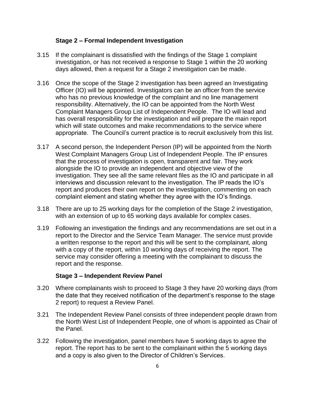#### **Stage 2 – Formal Independent Investigation**

- 3.15 If the complainant is dissatisfied with the findings of the Stage 1 complaint investigation, or has not received a response to Stage 1 within the 20 working days allowed, then a request for a Stage 2 investigation can be made.
- 3.16 Once the scope of the Stage 2 investigation has been agreed an Investigating Officer (IO) will be appointed. Investigators can be an officer from the service who has no previous knowledge of the complaint and no line management responsibility. Alternatively, the IO can be appointed from the North West Complaint Managers Group List of Independent People. The IO will lead and has overall responsibility for the investigation and will prepare the main report which will state outcomes and make recommendations to the service where appropriate. The Council's current practice is to recruit exclusively from this list.
- 3.17 A second person, the Independent Person (IP) will be appointed from the North West Complaint Managers Group List of Independent People. The IP ensures that the process of investigation is open, transparent and fair. They work alongside the IO to provide an independent and objective view of the investigation. They see all the same relevant files as the IO and participate in all interviews and discussion relevant to the investigation. The IP reads the IO's report and produces their own report on the investigation, commenting on each complaint element and stating whether they agree with the IO's findings.
- 3.18 There are up to 25 working days for the completion of the Stage 2 investigation, with an extension of up to 65 working days available for complex cases.
- 3.19 Following an investigation the findings and any recommendations are set out in a report to the Director and the Service Team Manager. The service must provide a written response to the report and this will be sent to the complainant, along with a copy of the report, within 10 working days of receiving the report. The service may consider offering a meeting with the complainant to discuss the report and the response.

#### **Stage 3 – Independent Review Panel**

- 3.20 Where complainants wish to proceed to Stage 3 they have 20 working days (from the date that they received notification of the department's response to the stage 2 report) to request a Review Panel.
- 3.21 The Independent Review Panel consists of three independent people drawn from the North West List of Independent People, one of whom is appointed as Chair of the Panel.
- 3.22 Following the investigation, panel members have 5 working days to agree the report. The report has to be sent to the complainant within the 5 working days and a copy is also given to the Director of Children's Services.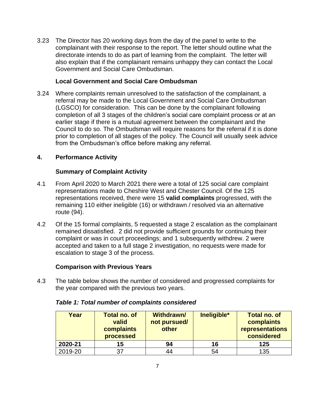3.23 The Director has 20 working days from the day of the panel to write to the complainant with their response to the report. The letter should outline what the directorate intends to do as part of learning from the complaint. The letter will also explain that if the complainant remains unhappy they can contact the Local Government and Social Care Ombudsman.

# **Local Government and Social Care Ombudsman**

3.24 Where complaints remain unresolved to the satisfaction of the complainant, a referral may be made to the Local Government and Social Care Ombudsman (LGSCO) for consideration. This can be done by the complainant following completion of all 3 stages of the children's social care complaint process or at an earlier stage if there is a mutual agreement between the complainant and the Council to do so. The Ombudsman will require reasons for the referral if it is done prior to completion of all stages of the policy. The Council will usually seek advice from the Ombudsman's office before making any referral.

# **4. Performance Activity**

# **Summary of Complaint Activity**

- 4.1 From April 2020 to March 2021 there were a total of 125 social care complaint representations made to Cheshire West and Chester Council. Of the 125 representations received, there were 15 **valid complaints** progressed, with the remaining 110 either ineligible (16) or withdrawn / resolved via an alternative route (94).
- 4.2 Of the 15 formal complaints, 5 requested a stage 2 escalation as the complainant remained dissatisfied. 2 did not provide sufficient grounds for continuing their complaint or was in court proceedings; and 1 subsequently withdrew. 2 were accepted and taken to a full stage 2 investigation, no requests were made for escalation to stage 3 of the process.

# **Comparison with Previous Years**

4.3 The table below shows the number of considered and progressed complaints for the year compared with the previous two years.

| Year    | <b>Total no. of</b><br>valid<br>complaints<br>processed | <b>Withdrawn/</b><br>not pursued/<br>other | Ineligible* | <b>Total no. of</b><br>complaints<br>representations<br>considered |
|---------|---------------------------------------------------------|--------------------------------------------|-------------|--------------------------------------------------------------------|
| 2020-21 | 15                                                      | 94                                         | 16          | 125                                                                |
| 2019-20 | 37                                                      | 44                                         | 54          | 135                                                                |

## *Table 1: Total number of complaints considered*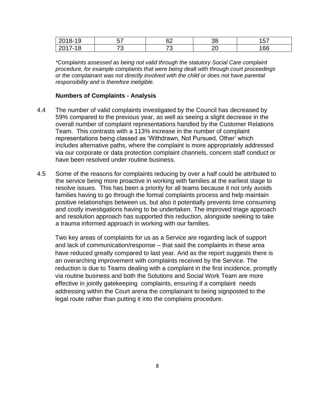| 10<br>20<br>10-<br>ີ | -- | rr<br>ᅆ | ົ<br>υc | $E^{\pm}$<br>ັບເ |
|----------------------|----|---------|---------|------------------|
| 2017<br>$^{\circ}$ O | →∼ | ⇁⌒<br>∼ | n,<br>∼ | 166              |

*\*Complaints assessed as being not valid through the statutory Social Care complaint procedure, for example complaints that were being dealt with through court proceedings or the complainant was not directly involved with the child or does not have parental responsibility and is therefore ineligible.*

#### **Numbers of Complaints - Analysis**

- 4.4 The number of valid complaints investigated by the Council has decreased by 59% compared to the previous year, as well as seeing a slight decrease in the overall number of complaint representations handled by the Customer Relations Team. This contrasts with a 113% increase in the number of complaint representations being classed as 'Withdrawn, Not Pursued, Other' which includes alternative paths, where the complaint is more appropriately addressed via our corporate or data protection complaint channels, concern staff conduct or have been resolved under routine business.
- 4.5 Some of the reasons for complaints reducing by over a half could be attributed to the service being more proactive in working with families at the earliest stage to resolve issues. This has been a priority for all teams because it not only avoids families having to go through the formal complaints process and help maintain positive relationships between us, but also it potentially prevents time consuming and costly investigations having to be undertaken. The improved triage approach and resolution approach has supported this reduction, alongside seeking to take a trauma informed approach in working with our families.

Two key areas of complaints for us as a Service are regarding lack of support and lack of communication/response – that said the complaints in these area have reduced greatly compared to last year. And as the report suggests there is an overarching improvement with complaints received by the Service. The reduction is due to Teams dealing with a complaint in the first incidence, promptly via routine business and both the Solutions and Social Work Team are more effective in jointly gatekeeping complaints, ensuring if a complaint needs addressing within the Court arena the complainant to being signposted to the legal route rather than putting it into the complains procedure.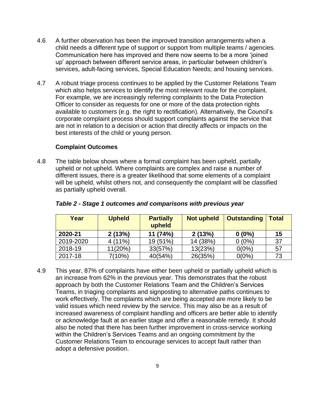- 4.6 A further observation has been the improved transition arrangements when a child needs a different type of support or support from multiple teams / agencies. Communication here has improved and there now seems to be a more 'joined up' approach between different service areas, in particular between children's services, adult-facing services, Special Education Needs; and housing services.
- 4.7 A robust triage process continues to be applied by the Customer Relations Team which also helps services to identify the most relevant route for the complaint. For example, we are increasingly referring complaints to the Data Protection Officer to consider as requests for one or more of the data protection rights available to customers (e.g. the right to rectification). Alternatively, the Council's corporate complaint process should support complaints against the service that are not in relation to a decision or action that directly affects or impacts on the best interests of the child or young person.

#### **Complaint Outcomes**

4.8 The table below shows where a formal complaint has been upheld, partially upheld or not upheld. Where complaints are complex and raise a number of different issues, there is a greater likelihood that some elements of a complaint will be upheld, whilst others not, and consequently the complaint will be classified as partially upheld overall.

| Year      | <b>Upheld</b> | <b>Partially</b><br>upheld | <b>Not upheld</b> | <b>Outstanding</b> | <b>Total</b> |
|-----------|---------------|----------------------------|-------------------|--------------------|--------------|
| 2020-21   | 2(13%)        | 11 (74%)                   | 2(13%)            | $0(0\%)$           | 15           |
| 2019-2020 | $4(11\%)$     | 19 (51%)                   | 14 (38%)          | $0(0\%)$           | -37          |
| 2018-19   | 11(20%)       | 33(57%)                    | 13(23%)           | $0(0\%)$           | 57           |
| 2017-18   | 7(10%)        | 40(54%)                    | 26(35%)           | $0(0\%)$           | 73           |

#### *Table 2 - Stage 1 outcomes and comparisons with previous year*

4.9 This year, 87% of complaints have either been upheld or partially upheld which is an increase from 62% in the previous year. This demonstrates that the robust approach by both the Customer Relations Team and the Children's Services Teams, in triaging complaints and signposting to alternative paths continues to work effectively. The complaints which are being accepted are more likely to be valid issues which need review by the service. This may also be as a result of increased awareness of complaint handling and officers are better able to identify or acknowledge fault at an earlier stage and offer a reasonable remedy. It should also be noted that there has been further improvement in cross-service working within the Children's Services Teams and an ongoing commitment by the Customer Relations Team to encourage services to accept fault rather than adopt a defensive position.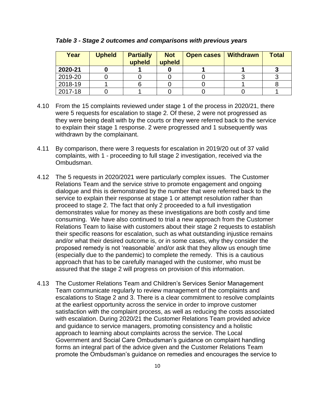| Year    | <b>Upheld</b> | <b>Partially</b><br>upheld | <b>Not</b><br>upheld | <b>Open cases</b> | <b>Withdrawn</b> | <b>Total</b> |
|---------|---------------|----------------------------|----------------------|-------------------|------------------|--------------|
| 2020-21 |               |                            |                      |                   |                  |              |
| 2019-20 |               |                            |                      |                   |                  |              |
| 2018-19 |               |                            |                      |                   |                  |              |
| 2017-18 |               |                            |                      |                   |                  |              |

*Table 3 - Stage 2 outcomes and comparisons with previous years*

- 4.10 From the 15 complaints reviewed under stage 1 of the process in 2020/21, there were 5 requests for escalation to stage 2. Of these, 2 were not progressed as they were being dealt with by the courts or they were referred back to the service to explain their stage 1 response. 2 were progressed and 1 subsequently was withdrawn by the complainant.
- 4.11 By comparison, there were 3 requests for escalation in 2019/20 out of 37 valid complaints, with 1 - proceeding to full stage 2 investigation, received via the Ombudsman.
- 4.12 The 5 requests in 2020/2021 were particularly complex issues. The Customer Relations Team and the service strive to promote engagement and ongoing dialogue and this is demonstrated by the number that were referred back to the service to explain their response at stage 1 or attempt resolution rather than proceed to stage 2. The fact that only 2 proceeded to a full investigation demonstrates value for money as these investigations are both costly and time consuming. We have also continued to trial a new approach from the Customer Relations Team to liaise with customers about their stage 2 requests to establish their specific reasons for escalation, such as what outstanding injustice remains and/or what their desired outcome is, or in some cases, why they consider the proposed remedy is not 'reasonable' and/or ask that they allow us enough time (especially due to the pandemic) to complete the remedy. This is a cautious approach that has to be carefully managed with the customer, who must be assured that the stage 2 will progress on provision of this information.
- 4.13 The Customer Relations Team and Children's Services Senior Management Team communicate regularly to review management of the complaints and escalations to Stage 2 and 3. There is a clear commitment to resolve complaints at the earliest opportunity across the service in order to improve customer satisfaction with the complaint process, as well as reducing the costs associated with escalation. During 2020/21 the Customer Relations Team provided advice and guidance to service managers, promoting consistency and a holistic approach to learning about complaints across the service. The Local Government and Social Care Ombudsman's guidance on complaint handling forms an integral part of the advice given and the Customer Relations Team promote the Ombudsman's guidance on remedies and encourages the service to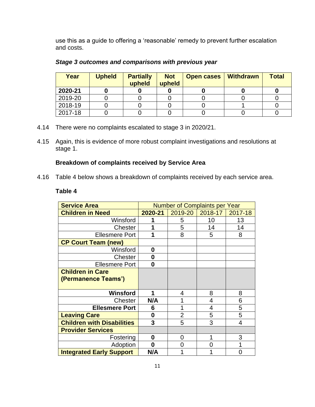use this as a guide to offering a 'reasonable' remedy to prevent further escalation and costs.

| Year    | <b>Upheld</b> | <b>Partially</b><br>upheld | <b>Not</b><br>upheld | <b>Open cases</b> | <b>Withdrawn</b> | <b>Total</b> |
|---------|---------------|----------------------------|----------------------|-------------------|------------------|--------------|
| 2020-21 |               |                            |                      |                   |                  |              |
| 2019-20 |               |                            |                      |                   |                  |              |
| 2018-19 |               |                            |                      |                   |                  |              |
| 2017-18 |               |                            |                      |                   |                  |              |

# *Stage 3 outcomes and comparisons with previous year*

- 4.14 There were no complaints escalated to stage 3 in 2020/21.
- 4.15 Again, this is evidence of more robust complaint investigations and resolutions at stage 1.

# **Breakdown of complaints received by Service Area**

4.16 Table 4 below shows a breakdown of complaints received by each service area.

#### **Table 4**

| <b>Service Area</b>                            | <b>Number of Complaints per Year</b> |                |         |         |
|------------------------------------------------|--------------------------------------|----------------|---------|---------|
| <b>Children in Need</b>                        | 2020-21                              | 2019-20        | 2018-17 | 2017-18 |
| Winsford                                       |                                      | 5              | 10      | 13      |
| <b>Chester</b>                                 |                                      | 5              | 14      | 14      |
| <b>Ellesmere Port</b>                          | 1                                    | 8              | 5       | 8       |
| <b>CP Court Team (new)</b>                     |                                      |                |         |         |
| Winsford                                       | 0                                    |                |         |         |
| Chester                                        | 0                                    |                |         |         |
| <b>Ellesmere Port</b>                          | 0                                    |                |         |         |
| <b>Children in Care</b><br>(Permanence Teams') |                                      |                |         |         |
| Winsford                                       | 1                                    | 4              | 8       | 8       |
| Chester                                        | N/A                                  |                | 4       | 6       |
| <b>Ellesmere Port</b>                          | 6                                    |                | 4       | 5       |
| <b>Leaving Care</b>                            | 0                                    | $\overline{2}$ | 5       | 5       |
| <b>Children with Disabilities</b>              | 3                                    | 5              | 3       | 4       |
| <b>Provider Services</b>                       |                                      |                |         |         |
| Fostering                                      | 0                                    | 0              |         | 3       |
| Adoption                                       | 0                                    |                | ი       |         |
| <b>Integrated Early Support</b>                | N/A                                  |                |         |         |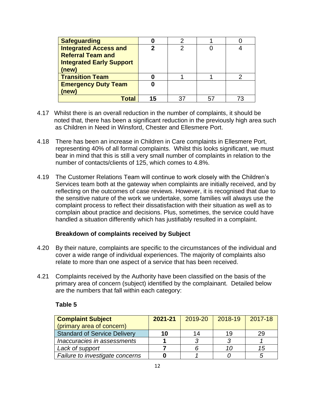| <b>Safeguarding</b>             |    |    |    |  |
|---------------------------------|----|----|----|--|
| <b>Integrated Access and</b>    |    | റ  |    |  |
| <b>Referral Team and</b>        |    |    |    |  |
| <b>Integrated Early Support</b> |    |    |    |  |
| (new)                           |    |    |    |  |
| <b>Transition Team</b>          |    |    |    |  |
| <b>Emergency Duty Team</b>      |    |    |    |  |
| (new)                           |    |    |    |  |
| otal <sub>1</sub>               | 15 | 37 | 57 |  |

- 4.17 Whilst there is an overall reduction in the number of complaints, it should be noted that, there has been a significant reduction in the previously high area such as Children in Need in Winsford, Chester and Ellesmere Port.
- 4.18 There has been an increase in Children in Care complaints in Ellesmere Port, representing 40% of all formal complaints. Whilst this looks significant, we must bear in mind that this is still a very small number of complaints in relation to the number of contacts/clients of 125, which comes to 4.8%.
- 4.19 The Customer Relations Team will continue to work closely with the Children's Services team both at the gateway when complaints are initially received, and by reflecting on the outcomes of case reviews. However, it is recognised that due to the sensitive nature of the work we undertake, some families will always use the complaint process to reflect their dissatisfaction with their situation as well as to complain about practice and decisions. Plus, sometimes, the service could have handled a situation differently which has justifiably resulted in a complaint.

## **Breakdown of complaints received by Subject**

- 4.20 By their nature, complaints are specific to the circumstances of the individual and cover a wide range of individual experiences. The majority of complaints also relate to more than one aspect of a service that has been received.
- 4.21 Complaints received by the Authority have been classified on the basis of the primary area of concern (subject) identified by the complainant. Detailed below are the numbers that fall within each category:

#### **Table 5**

| <b>Complaint Subject</b>            | 2021-21 | 2019-20 | 2018-19 | 2017-18 |
|-------------------------------------|---------|---------|---------|---------|
| (primary area of concern)           |         |         |         |         |
| <b>Standard of Service Delivery</b> | 10      | 14      | 19      | 29      |
| Inaccuracies in assessments         |         |         |         |         |
| Lack of support                     |         |         | 10      | 15      |
| Failure to investigate concerns     |         |         |         |         |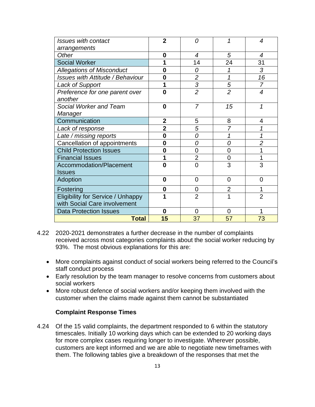| <b>Issues with contact</b>              | $\mathbf{2}$   | Ω              |                | $\overline{4}$ |
|-----------------------------------------|----------------|----------------|----------------|----------------|
| arrangements                            |                |                |                |                |
| Other                                   | 0              | 4              | 5              | $\overline{4}$ |
| <b>Social Worker</b>                    |                | 14             | 24             | 31             |
| <b>Allegations of Misconduct</b>        | O              | Ω              |                | 3              |
| <b>Issues with Attitude / Behaviour</b> | 0              | $\overline{2}$ | 1              | 16             |
| Lack of Support                         |                | $\overline{3}$ | 5              | $\overline{7}$ |
| Preference for one parent over          | O              | $\overline{2}$ | $\overline{2}$ | $\overline{4}$ |
| another                                 |                |                |                |                |
| Social Worker and Team                  | 0              | $\overline{7}$ | 15             | 1              |
| Manager                                 |                |                |                |                |
| Communication                           | $\overline{2}$ | 5              | 8              | 4              |
| Lack of response                        | $\overline{2}$ | 5              | $\overline{7}$ |                |
| Late / missing reports                  | $\bf{0}$       | 0              | 1              |                |
| Cancellation of appointments            | 0              | 0              | 0              | $\overline{2}$ |
| <b>Child Protection Issues</b>          | 0              | 0              | 0              |                |
| <b>Financial Issues</b>                 |                | $\overline{2}$ | $\overline{0}$ |                |
| Accommodation/Placement                 | $\bf{0}$       | $\overline{0}$ | 3              | 3              |
| <b>Issues</b>                           |                |                |                |                |
| Adoption                                | 0              | 0              | $\overline{0}$ | 0              |
| Fostering                               | 0              | 0              | $\overline{2}$ |                |
| Eligibility for Service / Unhappy       |                | $\overline{2}$ |                | $\overline{2}$ |
| with Social Care involvement            |                |                |                |                |
| <b>Data Protection Issues</b>           | $\bf{0}$       | 0              | $\overline{0}$ |                |
| <b>Total</b>                            | 15             | 37             | 57             | 73             |

- 4.22 2020-2021 demonstrates a further decrease in the number of complaints received across most categories complaints about the social worker reducing by 93%. The most obvious explanations for this are:
	- More complaints against conduct of social workers being referred to the Council's staff conduct process
	- Early resolution by the team manager to resolve concerns from customers about social workers
	- More robust defence of social workers and/or keeping them involved with the customer when the claims made against them cannot be substantiated

## **Complaint Response Times**

4.24 Of the 15 valid complaints, the department responded to 6 within the statutory timescales. Initially 10 working days which can be extended to 20 working days for more complex cases requiring longer to investigate. Wherever possible, customers are kept informed and we are able to negotiate new timeframes with them. The following tables give a breakdown of the responses that met the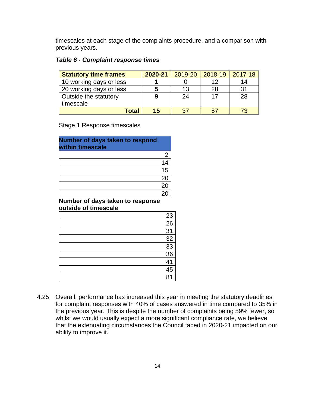timescales at each stage of the complaints procedure, and a comparison with previous years.

#### *Table 6 - Complaint response times*

| <b>Statutory time frames</b> | 2020-21 | 2019-20 | 2018-19 | 2017-18 |
|------------------------------|---------|---------|---------|---------|
| 10 working days or less      |         |         | 12      | 14      |
| 20 working days or less      |         | 13      | 28      | 31      |
| Outside the statutory        | 9       | 24      | 17      | 28      |
| timescale                    |         |         |         |         |
| <b>Total</b>                 | 15      | 37      | 57      |         |

#### Stage 1 Response timescales

| Number of days taken to respond<br>within timescale |    |
|-----------------------------------------------------|----|
|                                                     | 2  |
|                                                     | 14 |
|                                                     | 15 |
|                                                     | 20 |
|                                                     | 20 |
|                                                     |    |

#### **Number of days taken to response outside of timescale**

| 23              |
|-----------------|
| 26              |
| 31              |
| 32              |
| $\frac{33}{36}$ |
|                 |
| 41              |
| 45              |
| 81              |

4.25 Overall, performance has increased this year in meeting the statutory deadlines for complaint responses with 40% of cases answered in time compared to 35% in the previous year. This is despite the number of complaints being 59% fewer, so whilst we would usually expect a more significant compliance rate, we believe that the extenuating circumstances the Council faced in 2020-21 impacted on our ability to improve it.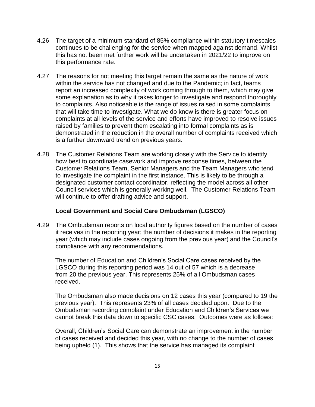- 4.26 The target of a minimum standard of 85% compliance within statutory timescales continues to be challenging for the service when mapped against demand. Whilst this has not been met further work will be undertaken in 2021/22 to improve on this performance rate.
- 4.27 The reasons for not meeting this target remain the same as the nature of work within the service has not changed and due to the Pandemic; in fact, teams report an increased complexity of work coming through to them, which may give some explanation as to why it takes longer to investigate and respond thoroughly to complaints. Also noticeable is the range of issues raised in some complaints that will take time to investigate. What we do know is there is greater focus on complaints at all levels of the service and efforts have improved to resolve issues raised by families to prevent them escalating into formal complaints as is demonstrated in the reduction in the overall number of complaints received which is a further downward trend on previous years.
- 4.28 The Customer Relations Team are working closely with the Service to identify how best to coordinate casework and improve response times, between the Customer Relations Team, Senior Managers and the Team Managers who tend to investigate the complaint in the first instance. This is likely to be through a designated customer contact coordinator, reflecting the model across all other Council services which is generally working well. The Customer Relations Team will continue to offer drafting advice and support.

## **Local Government and Social Care Ombudsman (LGSCO)**

4.29 The Ombudsman reports on local authority figures based on the number of cases it receives in the reporting year; the number of decisions it makes in the reporting year (which may include cases ongoing from the previous year) and the Council's compliance with any recommendations.

The number of Education and Children's Social Care cases received by the LGSCO during this reporting period was 14 out of 57 which is a decrease from 20 the previous year. This represents 25% of all Ombudsman cases received.

The Ombudsman also made decisions on 12 cases this year (compared to 19 the previous year). This represents 23% of all cases decided upon. Due to the Ombudsman recording complaint under Education and Children's Services we cannot break this data down to specific CSC cases. Outcomes were as follows:

Overall, Children's Social Care can demonstrate an improvement in the number of cases received and decided this year, with no change to the number of cases being upheld (1). This shows that the service has managed its complaint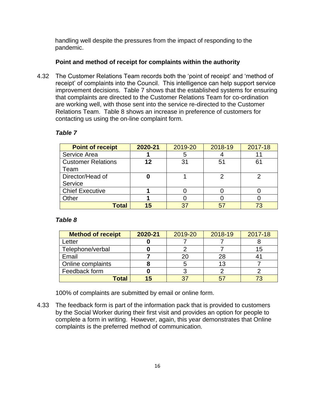handling well despite the pressures from the impact of responding to the pandemic.

## **Point and method of receipt for complaints within the authority**

4.32 The Customer Relations Team records both the 'point of receipt' and 'method of receipt' of complaints into the Council. This intelligence can help support service improvement decisions. Table 7 shows that the established systems for ensuring that complaints are directed to the Customer Relations Team for co-ordination are working well, with those sent into the service re-directed to the Customer Relations Team. Table 8 shows an increase in preference of customers for contacting us using the on-line complaint form.

| <b>Point of receipt</b>   | 2020-21 | 2019-20 | 2018-19 | 2017-18 |
|---------------------------|---------|---------|---------|---------|
| Service Area              |         | b       |         |         |
| <b>Customer Relations</b> | 12      | 31      | 51      | 61      |
| Team                      |         |         |         |         |
| Director/Head of          |         |         |         |         |
| Service                   |         |         |         |         |
| <b>Chief Executive</b>    |         |         |         |         |
| Other                     |         |         |         |         |
| Total                     | 15      |         |         |         |

# *Table 7*

#### *Table 8*

| <b>Method of receipt</b> | 2020-21 | 2019-20 | 2018-19 | 2017-18 |
|--------------------------|---------|---------|---------|---------|
| Letter                   |         |         |         |         |
| Telephone/verbal         |         |         |         | 15      |
| Email                    |         |         | 28      |         |
| Online complaints        |         |         | 13      |         |
| Feedback form            |         |         |         |         |
| Total                    | 15      |         |         |         |

100% of complaints are submitted by email or online form.

4.33 The feedback form is part of the information pack that is provided to customers by the Social Worker during their first visit and provides an option for people to complete a form in writing. However, again, this year demonstrates that Online complaints is the preferred method of communication.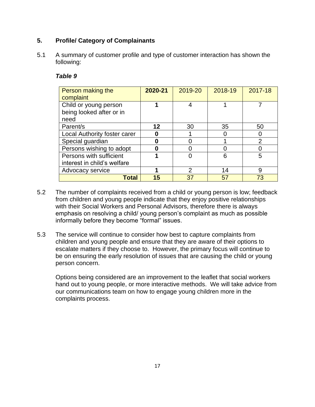# **5. Profile/ Category of Complainants**

5.1 A summary of customer profile and type of customer interaction has shown the following:

#### *Table 9*

| Person making the<br>complaint                    | 2020-21 | 2019-20 | 2018-19 | 2017-18 |
|---------------------------------------------------|---------|---------|---------|---------|
| Child or young person<br>being looked after or in |         |         |         |         |
| need                                              |         |         |         |         |
| Parent/s                                          | 12      | 30      | 35      | 50      |
| Local Authority foster carer                      |         |         |         |         |
| Special guardian                                  |         |         |         | 2       |
| Persons wishing to adopt                          |         |         |         |         |
| Persons with sufficient                           |         |         | 6       | 5       |
| interest in child's welfare                       |         |         |         |         |
| Advocacy service                                  |         | 2       | 14      | 9       |
| Total                                             | 15      | 37      | 57      | 73      |

- 5.2 The number of complaints received from a child or young person is low; feedback from children and young people indicate that they enjoy positive relationships with their Social Workers and Personal Advisors, therefore there is always emphasis on resolving a child/ young person's complaint as much as possible informally before they become "formal" issues.
- 5.3 The service will continue to consider how best to capture complaints from children and young people and ensure that they are aware of their options to escalate matters if they choose to. However, the primary focus will continue to be on ensuring the early resolution of issues that are causing the child or young person concern.

Options being considered are an improvement to the leaflet that social workers hand out to young people, or more interactive methods. We will take advice from our communications team on how to engage young children more in the complaints process.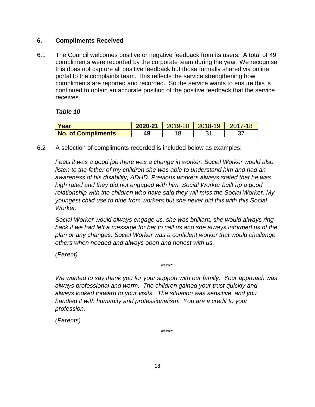## **6. Compliments Received**

6.1 The Council welcomes positive or negative feedback from its users. A total of 49 compliments were recorded by the corporate team during the year. We recognise this does not capture all positive feedback but those formally shared via online portal to the complaints team. This reflects the service strengthening how compliments are reported and recorded. So the service wants to ensure this is continued to obtain an accurate position of the positive feedback that the service receives.

## *Table 10*

| Year                      | 2020-21 | $\vert$ 2019-20 $\vert$ 2018-19 | $2017 -$ |
|---------------------------|---------|---------------------------------|----------|
| <b>No. of Compliments</b> | 49      |                                 |          |

6.2 A selection of compliments recorded is included below as examples:

*Feels it was a good job there was a change in worker. Social Worker would also listen to the father of my children she was able to understand him and had an awareness of his disability, ADHD. Previous workers always stated that he was high rated and they did not engaged with him. Social Worker built up a good relationship with the children who have said they will miss the Social Worker. My youngest child use to hide from workers but she never did this with this Social Worker.*

*Social Worker would always engage us, she was brilliant, she would always ring back if we had left a message for her to call us and she always informed us of the plan or any changes. Social Worker was a confident worker that would challenge others when needed and always open and honest with us.*

*(Parent)*

*We wanted to say thank you for your support with our family. Your approach was always professional and warm. The children gained your trust quickly and always looked forward to your visits. The situation was sensitive, and you handled it with humanity and professionalism. You are a credit to your profession.*

*\*\*\*\*\**

*(Parents)*

*\*\*\*\*\**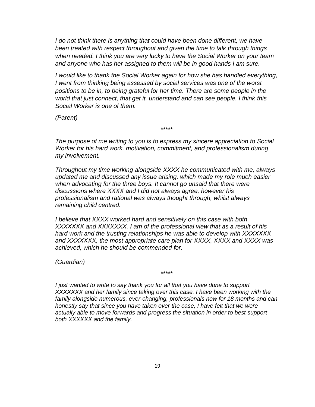*I* do not think there is anything that could have been done different, we have *been treated with respect throughout and given the time to talk through things when needed. I think you are very lucky to have the Social Worker on your team and anyone who has her assigned to them will be in good hands I am sure.*

*I* would like to thank the Social Worker again for how she has handled everything, *I went from thinking being assessed by social services was one of the worst positions to be in, to being grateful for her time. There are some people in the world that just connect, that get it, understand and can see people, I think this Social Worker is one of them.* 

*(Parent)*

*The purpose of me writing to you is to express my sincere appreciation to Social Worker for his hard work, motivation, commitment, and professionalism during my involvement.*

*\*\*\*\*\**

*Throughout my time working alongside XXXX he communicated with me, always updated me and discussed any issue arising, which made my role much easier when advocating for the three boys. It cannot go unsaid that there were discussions where XXXX and I did not always agree, however his professionalism and rational was always thought through, whilst always remaining child centred.*

*I believe that XXXX worked hard and sensitively on this case with both XXXXXXX and XXXXXXX. I am of the professional view that as a result of his hard work and the trusting relationships he was able to develop with XXXXXXX and XXXXXXX, the most appropriate care plan for XXXX, XXXX and XXXX was achieved, which he should be commended for.*

*(Guardian)*

*\*\*\*\*\**

*I just wanted to write to say thank you for all that you have done to support XXXXXXX and her family since taking over this case. I have been working with the family alongside numerous, ever-changing, professionals now for 18 months and can honestly say that since you have taken over the case, I have felt that we were actually able to move forwards and progress the situation in order to best support both XXXXXX and the family.*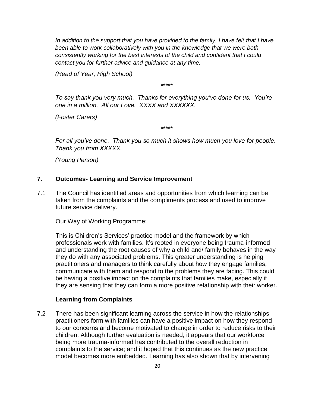*In addition to the support that you have provided to the family, I have felt that I have been able to work collaboratively with you in the knowledge that we were both consistently working for the best interests of the child and confident that I could contact you for further advice and guidance at any time.*

*(Head of Year, High School)*

*\*\*\*\*\**

*To say thank you very much. Thanks for everything you've done for us. You're one in a million. All our Love. XXXX and XXXXXX.*

*(Foster Carers)*

*For all you've done. Thank you so much it shows how much you love for people. Thank you from XXXXX.*

*\*\*\*\*\**

*(Young Person)*

# **7. Outcomes- Learning and Service Improvement**

7.1 The Council has identified areas and opportunities from which learning can be taken from the complaints and the compliments process and used to improve future service delivery.

Our Way of Working Programme:

This is Children's Services' practice model and the framework by which professionals work with families. It's rooted in everyone being trauma-informed and understanding the root causes of why a child and/ family behaves in the way they do with any associated problems. This greater understanding is helping practitioners and managers to think carefully about how they engage families, communicate with them and respond to the problems they are facing. This could be having a positive impact on the complaints that families make, especially if they are sensing that they can form a more positive relationship with their worker.

#### **Learning from Complaints**

7.2 There has been significant learning across the service in how the relationships practitioners form with families can have a positive impact on how they respond to our concerns and become motivated to change in order to reduce risks to their children. Although further evaluation is needed, it appears that our workforce being more trauma-informed has contributed to the overall reduction in complaints to the service; and it hoped that this continues as the new practice model becomes more embedded. Learning has also shown that by intervening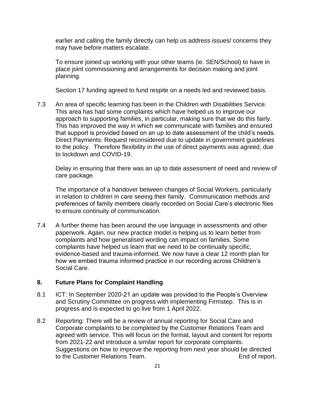earlier and calling the family directly can help us address issues/ concerns they may have before matters escalate.

To ensure joined up working with your other teams (ie. SEN/School) to have in place joint commissioning and arrangements for decision making and joint planning.

Section 17 funding agreed to fund respite on a needs led and reviewed basis.

7.3 An area of specific learning has been in the Children with Disabilities Service. This area has had some complaints which have helped us to improve our approach to supporting families, in particular, making sure that we do this fairly. This has improved the way in which we communicate with families and ensured that support is provided based on an up to date assessment of the child's needs. Direct Payments: Request reconsidered due to update in government guidelines to the policy. Therefore flexibility in the use of direct payments was agreed, due to lockdown and COVID-19.

Delay in ensuring that there was an up to date assessment of need and review of care package.

The importance of a handover between changes of Social Workers, particularly in relation to children in care seeing their family. Communication methods and preferences of family members clearly recorded on Social Care's electronic files to ensure continuity of communication.

7.4 A further theme has been around the use language in assessments and other paperwork. Again, our new practice model is helping us to learn better from complaints and how generalised wording can impact on families. Some complaints have helped us learn that we need to be continually specific, evidence-based and trauma-informed. We now have a clear 12 month plan for how we embed trauma informed practice in our recording across Children's Social Care.

## **8. Future Plans for Complaint Handling**

- 8.1 ICT: In September 2020-21 an update was provided to the People's Overview and Scrutiny Committee on progress with implementing Firmstep. This is in progress and is expected to go live from 1 April 2022.
- 8.2 Reporting: There will be a review of annual reporting for Social Care and Corporate complaints to be completed by the Customer Relations Team and agreed with service. This will focus on the format, layout and content for reports from 2021-22 and introduce a similar report for corporate complaints. Suggestions on how to improve the reporting from next year should be directed to the Customer Relations Team. The control of report.